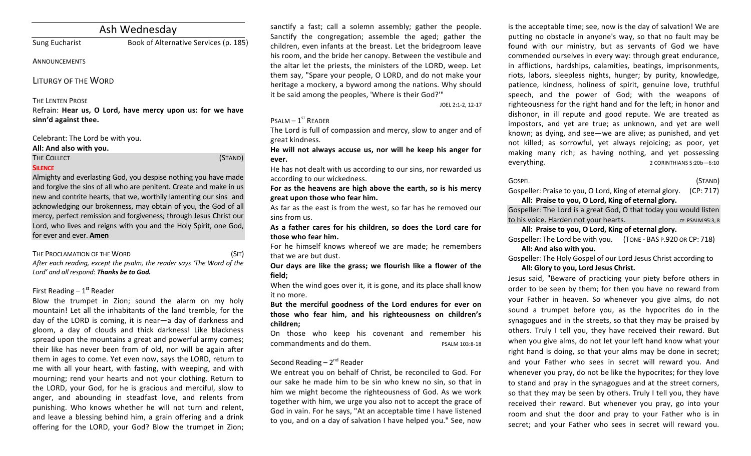# Ash Wednesday

Sung Eucharist **Book of Alternative Services** (p. 185)

## **ANNOUNCEMENTS**

LITURGY OF THE WORD

## **THE LENTEN PROSE**

Refrain: Hear us, O Lord, have mercy upon us: for we have **sinn'd against thee.**

## Celebrant: The Lord be with you.

## All: And also with you.

THE COLLECT **THE COLLECT COLLECT COLLECT COLLECT COLLECT COLLECT COLLECT COLLECT COLLECT COLLECT SILENCE**

Almighty and everlasting God, you despise nothing you have made and forgive the sins of all who are penitent. Create and make in us new and contrite hearts, that we, worthily lamenting our sins and acknowledging our brokenness, may obtain of you, the God of all mercy, perfect remission and forgiveness; through Jesus Christ our Lord, who lives and reigns with you and the Holy Spirit, one God, for ever and ever. **Amen** 

## THE PROCLAMATION OF THE WORD (SIT)

After each reading, except the psalm, the reader says 'The Word of the Lord' and all respond: Thanks be to God.

## First Reading  $-1<sup>st</sup>$  Reader

Blow the trumpet in Zion; sound the alarm on my holy mountain! Let all the inhabitants of the land tremble, for the day of the LORD is coming, it is near—a day of darkness and gloom, a day of clouds and thick darkness! Like blackness spread upon the mountains a great and powerful army comes; their like has never been from of old, nor will be again after them in ages to come. Yet even now, says the LORD, return to me with all your heart, with fasting, with weeping, and with mourning; rend your hearts and not your clothing. Return to the LORD, your God, for he is gracious and merciful, slow to anger, and abounding in steadfast love, and relents from punishing. Who knows whether he will not turn and relent, and leave a blessing behind him, a grain offering and a drink offering for the LORD, your God? Blow the trumpet in Zion; sanctify a fast; call a solemn assembly; gather the people. Sanctify the congregation; assemble the aged; gather the children, even infants at the breast. Let the bridegroom leave his room, and the bride her canopy. Between the vestibule and the altar let the priests, the ministers of the LORD, weep. Let them say, "Spare your people, O LORD, and do not make your heritage a mockery, a byword among the nations. Why should it be said among the peoples, 'Where is their God?'"

JOEL 2:1-2, 12-17

## $P$ SALM  $-1$ <sup>ST</sup> READER

The Lord is full of compassion and mercy, slow to anger and of great kindness.

He will not always accuse us, nor will he keep his anger for **ever.**

He has not dealt with us according to our sins, nor rewarded us according to our wickedness.

For as the heavens are high above the earth, so is his mercy **great upon those who fear him.**

As far as the east is from the west, so far has he removed our sins from us.

As a father cares for his children, so does the Lord care for **those who fear him.**

For he himself knows whereof we are made; he remembers that we are but dust.

Our days are like the grass; we flourish like a flower of the **field;**

When the wind goes over it, it is gone, and its place shall know it no more.

But the merciful goodness of the Lord endures for ever on those who fear him, and his righteousness on children's **children;**

On those who keep his covenant and remember his commandments and do them. The PSALM 103:8-18

## Second Reading  $- 2<sup>nd</sup>$  Reader

We entreat you on behalf of Christ, be reconciled to God. For our sake he made him to be sin who knew no sin, so that in him we might become the righteousness of God. As we work together with him, we urge you also not to accept the grace of God in vain. For he says, "At an acceptable time I have listened to you, and on a day of salvation I have helped you." See, now is the acceptable time; see, now is the day of salvation! We are putting no obstacle in anyone's way, so that no fault may be found with our ministry, but as servants of God we have commended ourselves in every way: through great endurance, in afflictions, hardships, calamities, beatings, imprisonments, riots, labors, sleepless nights, hunger; by purity, knowledge, patience, kindness, holiness of spirit, genuine love, truthful speech, and the power of God; with the weapons of righteousness for the right hand and for the left; in honor and dishonor, in ill repute and good repute. We are treated as impostors, and yet are true; as unknown, and yet are well known; as dying, and see—we are alive; as punished, and yet not killed; as sorrowful, yet always rejoicing; as poor, yet making many rich; as having nothing, and yet possessing everything. 2 CORINTHIANS 5:20b-6:10

## $\overline{S}$  GOSPEL (STAND)

Gospeller: Praise to you, O Lord, King of eternal glory. (CP: 717) All: Praise to you, O Lord, King of eternal glory.

Gospeller: The Lord is a great God, O that today you would listen to his voice. Harden not your hearts. The set of the set of the set of the set of the set of the set of the set of the set of the set of the set of the set of the set of the set of the set of the set of the set of the set

## All: Praise to you, O Lord, King of eternal glory.

Gospeller: The Lord be with you. (TONE - BAS P.920 OR CP: 718) All: And also with you.

Gospeller: The Holy Gospel of our Lord Jesus Christ according to

## All: Glory to you, Lord Jesus Christ.

Jesus said, "Beware of practicing your piety before others in order to be seen by them; for then you have no reward from your Father in heaven. So whenever you give alms, do not sound a trumpet before you, as the hypocrites do in the synagogues and in the streets, so that they may be praised by others. Truly I tell you, they have received their reward. But when you give alms, do not let your left hand know what your right hand is doing, so that your alms may be done in secret; and your Father who sees in secret will reward you. And whenever you pray, do not be like the hypocrites; for they love to stand and pray in the synagogues and at the street corners, so that they may be seen by others. Truly I tell you, they have received their reward. But whenever you pray, go into your room and shut the door and pray to your Father who is in secret; and your Father who sees in secret will reward you.